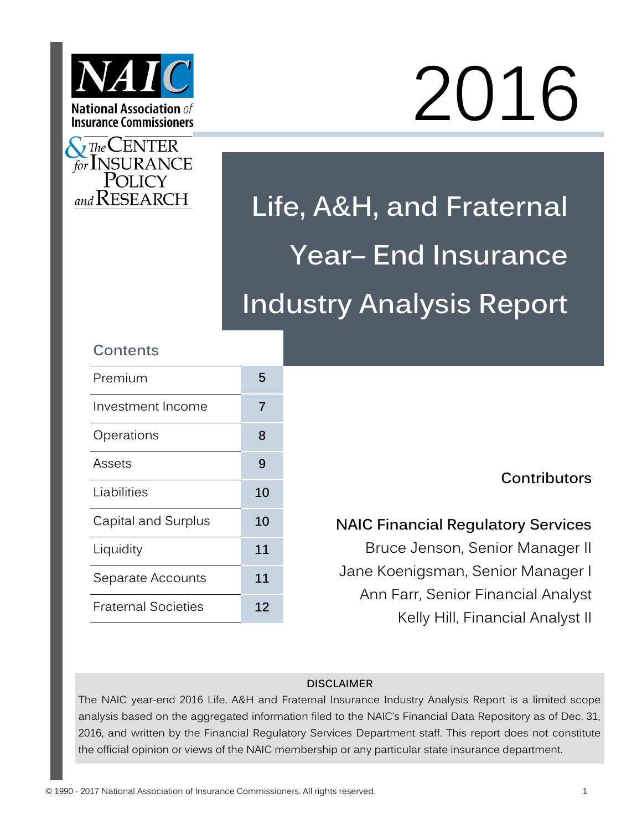



# 2016

**Life, A&H, and Fraternal Year– End Insurance Industry Analysis Report**

# **Contents**

| Premium                    | 5  |
|----------------------------|----|
| Investment Income          | 7  |
| Operations                 | 8  |
| Assets                     | 9  |
| Liabilities                | 10 |
| Capital and Surplus        | 10 |
| Liquidity                  | 11 |
| Separate Accounts          | 11 |
| <b>Fraternal Societies</b> | 12 |

# **Contributors**

# **NAIC Financial Regulatory Services**

Bruce Jenson, Senior Manager II Jane Koenigsman, Senior Manager I Ann Farr, Senior Financial Analyst Kelly Hill, Financial Analyst II

## **DISCLAIMER**

The NAIC year-end 2016 Life, A&H and Fraternal Insurance Industry Analysis Report is a limited scope analysis based on the aggregated information filed to the NAIC's Financial Data Repository as of Dec. 31, 2016, and written by the Financial Regulatory Services Department staff. This report does not constitute the official opinion or views of the NAIC membership or any particular state insurance department.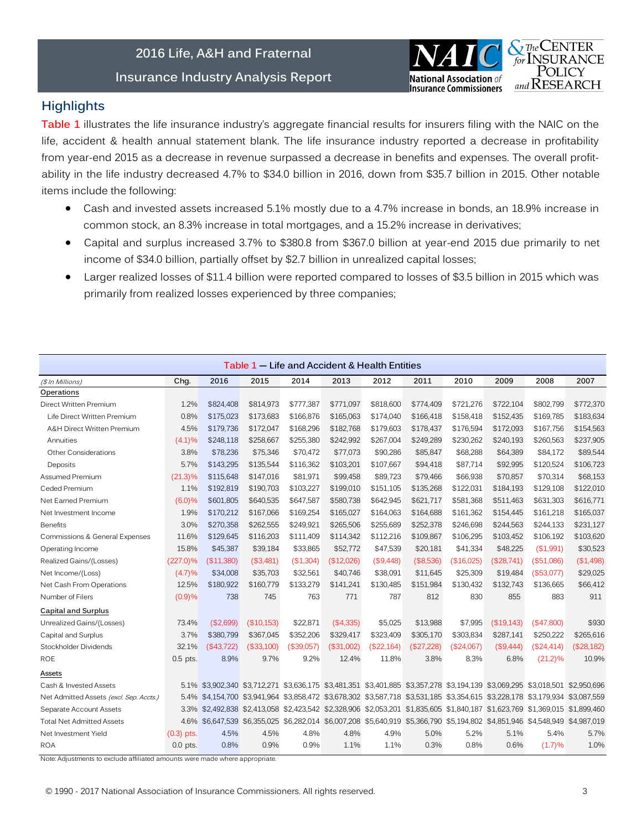## **2016 Life, A&H and Fraternal**

**Insurance Industry Analysis Report**



## **Highlights**

**Table 1** illustrates the life insurance industry's aggregate financial results for insurers filing with the NAIC on the life, accident & health annual statement blank. The life insurance industry reported a decrease in profitability from year-end 2015 as a decrease in revenue surpassed a decrease in benefits and expenses. The overall profitability in the life industry decreased 4.7% to \$34.0 billion in 2016, down from \$35.7 billion in 2015. Other notable items include the following:

- Cash and invested assets increased 5.1% mostly due to a 4.7% increase in bonds, an 18.9% increase in common stock, an 8.3% increase in total mortgages, and a 15.2% increase in derivatives;
- Capital and surplus increased 3.7% to \$380.8 from \$367.0 billion at year-end 2015 due primarily to net income of \$34.0 billion, partially offset by \$2.7 billion in unrealized capital losses;
- Larger realized losses of \$11.4 billion were reported compared to losses of \$3.5 billion in 2015 which was primarily from realized losses experienced by three companies;

|                                         |              |            |            |            | Table 1 – Life and Accident & Health Entities |            |           |            |                                                                                                                              |               |            |
|-----------------------------------------|--------------|------------|------------|------------|-----------------------------------------------|------------|-----------|------------|------------------------------------------------------------------------------------------------------------------------------|---------------|------------|
| (\$ In Millions)                        | Chg.         | 2016       | 2015       | 2014       | 2013                                          | 2012       | 2011      | 2010       | 2009                                                                                                                         | 2008          | 2007       |
| Operations                              |              |            |            |            |                                               |            |           |            |                                                                                                                              |               |            |
| Direct Written Premium                  | 1.2%         | \$824,408  | \$814,973  | \$777,387  | \$771,097                                     | \$818,600  | \$774,409 | \$721,276  | \$722.104                                                                                                                    | \$802,799     | \$772,370  |
| Life Direct Written Premium             | 0.8%         | \$175,023  | \$173,683  | \$166,876  | \$165,063                                     | \$174,040  | \$166,418 | \$158,418  | \$152,435                                                                                                                    | \$169,785     | \$183,634  |
| A&H Direct Written Premium              | 4.5%         | \$179,736  | \$172,047  | \$168,296  | \$182,768                                     | \$179,603  | \$178,437 | \$176,594  | \$172,093                                                                                                                    | \$167,756     | \$154,563  |
| Annuities                               | (4.1)%       | \$248.118  | \$258.667  | \$255,380  | \$242.992                                     | \$267,004  | \$249,289 | \$230.262  | \$240.193                                                                                                                    | \$260,563     | \$237,905  |
| Other Considerations                    | 3.8%         | \$78,236   | \$75,346   | \$70,472   | \$77,073                                      | \$90,286   | \$85.847  | \$68,288   | \$64.389                                                                                                                     | \$84,172      | \$89,544   |
| Deposits                                | 5.7%         | \$143.295  | \$135,544  | \$116,362  | \$103,201                                     | \$107.667  | \$94.418  | \$87.714   | \$92.995                                                                                                                     | \$120,524     | \$106,723  |
| Assumed Premium                         | $(21.3)\%$   | \$115,648  | \$147,016  | \$81,971   | \$99,458                                      | \$89.723   | \$79,466  | \$66,938   | \$70,857                                                                                                                     | \$70,314      | \$68,153   |
| Ceded Premium                           | 1.1%         | \$192,819  | \$190.703  | \$103,227  | \$199,010                                     | \$151.105  | \$135,268 | \$122,031  | \$184,193                                                                                                                    | \$129,108     | \$122,010  |
| Net Earned Premium                      | (6.0)%       | \$601.805  | \$640.535  | \$647,587  | \$580,738                                     | \$642.945  | \$621,717 | \$581,368  | \$511.463                                                                                                                    | \$631,303     | \$616.771  |
| Net Investment Income                   | 1.9%         | \$170,212  | \$167,066  | \$169,254  | \$165,027                                     | \$164,063  | \$164,688 | \$161,362  | \$154,445                                                                                                                    | \$161,218     | \$165,037  |
| <b>Benefits</b>                         | 3.0%         | \$270,358  | \$262,555  | \$249,921  | \$265,506                                     | \$255,689  | \$252,378 | \$246,698  | \$244,563                                                                                                                    | \$244,133     | \$231,127  |
| Commissions & General Expenses          | 11.6%        | \$129,645  | \$116,203  | \$111,409  | \$114,342                                     | \$112,216  | \$109,867 | \$106,295  | \$103,452                                                                                                                    | \$106,192     | \$103,620  |
| Operating Income                        | 15.8%        | \$45,387   | \$39,184   | \$33,865   | \$52,772                                      | \$47,539   | \$20,181  | \$41,334   | \$48,225                                                                                                                     | (\$1,991)     | \$30,523   |
| Realized Gains/(Losses)                 | $(227.0)\%$  | (\$11,380) | (\$3,481)  | (\$1,304)  | (\$12,026)                                    | (\$9,448)  | (\$8,536) | (\$16,025) | (\$28,741)                                                                                                                   | $($ \$51,086) | (\$1,498)  |
| Net Income/(Loss)                       | (4.7)%       | \$34,008   | \$35.703   | \$32,561   | \$40.746                                      | \$38.091   | \$11.645  | \$25,309   | \$19.484                                                                                                                     | (\$53,077)    | \$29,025   |
| Net Cash From Operations                | 12.5%        | \$180.922  | \$160.779  | \$133,279  | \$141,241                                     | \$130.485  | \$151,984 | \$130.432  | \$132.743                                                                                                                    | \$136,665     | \$66,412   |
| Number of Filers                        | (0.9)%       | 738        | 745        | 763        | 771                                           | 787        | 812       | 830        | 855                                                                                                                          | 883           | 911        |
| <b>Capital and Surplus</b>              |              |            |            |            |                                               |            |           |            |                                                                                                                              |               |            |
| Unrealized Gains/(Losses)               | 73.4%        | (\$2,699)  | (\$10,153) | \$22,871   | (\$4,335)                                     | \$5,025    | \$13,988  | \$7,995    | (\$19,143)                                                                                                                   | (\$47,800)    | \$930      |
| Capital and Surplus                     | 3.7%         | \$380.799  | \$367,045  | \$352,206  | \$329.417                                     | \$323,409  | \$305,170 | \$303.834  | \$287.141                                                                                                                    | \$250,222     | \$265,616  |
| Stockholder Dividends                   | 32.1%        | (\$43,722) | (\$33,100) | (\$39,057) | (\$31,002)                                    | (\$22,164) | (S27,228) | (\$24,067) | (S9,444)                                                                                                                     | (\$24,414)    | (\$28,182) |
| <b>ROE</b>                              | $0.5$ pts.   | 8.9%       | 9.7%       | 9.2%       | 12.4%                                         | 11.8%      | 3.8%      | 8.3%       | 6.8%                                                                                                                         | $(21.2)\%$    | 10.9%      |
| Assets                                  |              |            |            |            |                                               |            |           |            |                                                                                                                              |               |            |
| Cash & Invested Assets                  |              |            |            |            |                                               |            |           |            | 5.1% \$3,902,340 \$3,712,271 \$3,636,175 \$3,481,351 \$3,401,885 \$3,357,278 \$3,194,139 \$3,069,295 \$3,018,501 \$2,950,696 |               |            |
| Net Admitted Assets (excl. Sep. Accts.) | 5.4%         |            |            |            |                                               |            |           |            | \$4,154,700 \$3,941,964 \$3,858,472 \$3,678,302 \$3,587,718 \$3,531,185 \$3,354,615 \$3,228,178 \$3,179,934 \$3,087,559      |               |            |
| Separate Account Assets                 |              |            |            |            |                                               |            |           |            | 3.3% \$2,492,838 \$2,413,058 \$2,423,542 \$2,328,906 \$2,053,201 \$1,835,605 \$1,840,187 \$1,623,769 \$1,369,015 \$1,899,460 |               |            |
| <b>Total Net Admitted Assets</b>        |              |            |            |            |                                               |            |           |            | 4.6% \$6,647,539 \$6,355,025 \$6,282,014 \$6,007,208 \$5,640,919 \$5,366,790 \$5,194,802 \$4,851,946 \$4,548,949 \$4,987,019 |               |            |
| Net Investment Yield                    | $(0.3)$ pts. | 4.5%       | 4.5%       | 4.8%       | 4.8%                                          | 4.9%       | 5.0%      | 5.2%       | 5.1%                                                                                                                         | 5.4%          | 5.7%       |
| <b>ROA</b>                              | $0.0$ pts.   | 0.8%       | 0.9%       | 0.9%       | 1.1%                                          | 1.1%       | 0.3%      | 0.8%       | 0.6%                                                                                                                         | (1.7)%        | 1.0%       |

Note: Adjustments to exclude affiliated amounts were made where appropriate.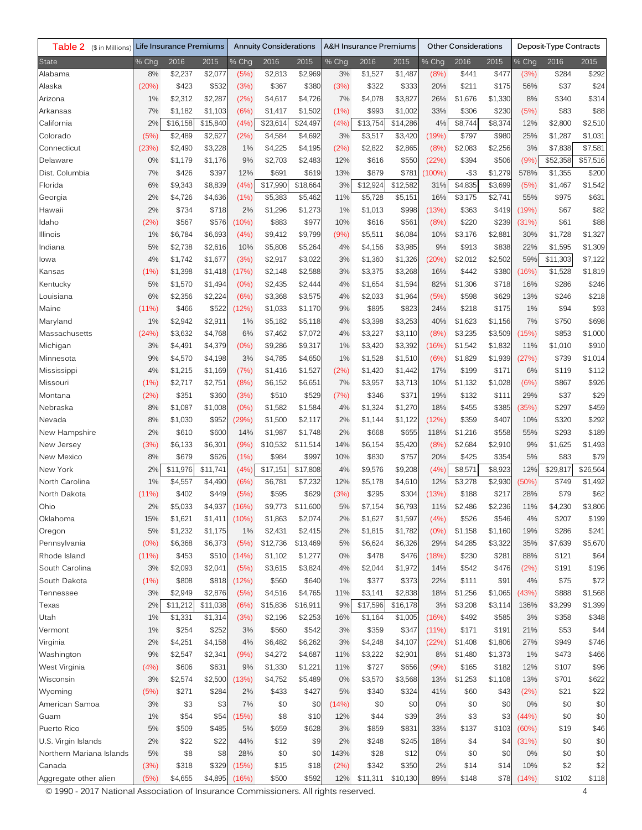| Table 2 (\$ in Millions)                                                           |       | Life Insurance Premiums |                  | <b>Annuity Considerations</b> |          | <b>A&amp;H Insurance Premiums</b> |       | Other Considerations |          |             | Deposit-Type Contracts |         |       |          |          |
|------------------------------------------------------------------------------------|-------|-------------------------|------------------|-------------------------------|----------|-----------------------------------|-------|----------------------|----------|-------------|------------------------|---------|-------|----------|----------|
| State                                                                              | % Chg | 2016                    | 2015             | % Chg                         | 2016     | 2015                              | % Chg | 2016                 | 2015     | % Chg       | 2016                   | 2015    | % Chg | 2016     | 2015     |
| Alabama                                                                            | 8%    | \$2,237                 | \$2,077          | (5%)                          | \$2,813  | \$2,969                           | 3%    | \$1,527              | \$1,487  | (8%)        | \$441                  | \$477   | (3%)  | \$284    | \$292    |
| Alaska                                                                             | (20%) | \$423                   | \$532            | (3%)                          | \$367    | \$380                             | (3%)  | \$322                | \$333    | 20%         | \$211                  | \$175   | 56%   | \$37     | \$24     |
| Arizona                                                                            | 1%    | \$2,312                 | \$2,287          | (2%)                          | \$4,617  | \$4,726                           | 7%    | \$4,078              | \$3,827  | 26%         | \$1,676                | \$1,330 | 8%    | \$340    | \$314    |
| Arkansas                                                                           | 7%    | \$1,182                 | \$1,103          | (6%)                          | \$1,417  | \$1,502                           | (1%)  | \$993                | \$1,002  | 33%         | \$306                  | \$230   | (5%)  | \$83     | \$88     |
| California                                                                         | 2%    | \$16,158                | \$15,840         | (4%)                          | \$23,614 | \$24,497                          | (4%   | \$13,754             | \$14,286 | 4%          | \$8,744                | \$8,374 | 12%   | \$2,800  | \$2,510  |
| Colorado                                                                           | (5%)  | \$2,489                 | \$2,627          | (2%)                          | \$4,584  | \$4,692                           | 3%    | \$3,517              | \$3,420  | (19%)       | \$797                  | \$980   | 25%   | \$1,287  | \$1,031  |
| Connecticut                                                                        | (23%) | \$2,490                 | \$3,228          | 1%                            | \$4,225  | \$4,195                           | (2%)  | \$2,822              | \$2,865  | (8%)        | \$2,083                | \$2,256 | 3%    | \$7,838  | \$7,581  |
| Delaware                                                                           | 0%    | \$1,179                 | \$1,176          | 9%                            | \$2,703  | \$2,483                           | 12%   | \$616                | \$550    | (22%)       | \$394                  | \$506   | (9%)  | \$52,358 | \$57,516 |
| Dist. Columbia                                                                     | 7%    | \$426                   | \$397            | 12%                           | \$691    | \$619                             | 13%   | \$879                | \$781    | (100%)      | $-$ \$3                | \$1,279 | 578%  | \$1,355  | \$200    |
| Florida                                                                            | 6%    | \$9,343                 | \$8,839          | (4%)                          | \$17,990 | \$18,664                          | 3%    | \$12,924             | \$12,582 | 31%         | \$4,835                | \$3,699 | (5%)  | \$1,467  | \$1,542  |
| Georgia                                                                            | 2%    | \$4,726                 | \$4,636          | (1%)                          | \$5,383  | \$5,462                           | 11%   | \$5,728              | \$5,151  | 16%         | \$3,175                | \$2,741 | 55%   | \$975    | \$631    |
| Hawaii                                                                             | 2%    | \$734                   | \$718            | 2%                            | \$1,296  | \$1,273                           | 1%    | \$1,013              | \$998    | (13%)       | \$363                  | \$419   | (19%) | \$67     | \$82     |
| ldaho                                                                              | (2%)  | \$567                   | \$576            | (10%)                         | \$883    | \$977                             | 10%   | \$616                | \$561    | (8%)        | \$220                  | \$239   | (31%) | \$61     | \$88     |
| Illinois                                                                           | 1%    | \$6,784                 | \$6,693          | (4%)                          | \$9,412  | \$9,799                           | (9%)  | \$5,511              | \$6,084  | 10%         | \$3,176                | \$2,881 | 30%   | \$1,728  | \$1,327  |
| Indiana                                                                            | 5%    | \$2,738                 | \$2,616          | 10%                           | \$5,808  | \$5,264                           | 4%    | \$4,156              | \$3,985  | 9%          | \$913                  | \$838   | 22%   | \$1,595  | \$1,309  |
| lowa                                                                               | 4%    | \$1,742                 | \$1,677          | (3%)                          | \$2,917  | \$3,022                           | 3%    | \$1,360              | \$1,326  | (20%)       | \$2,012                | \$2,502 | 59%   | \$11,303 | \$7,122  |
| Kansas                                                                             | (1%)  | \$1,398                 | \$1,418          | (17%)                         | \$2,148  | \$2,588                           | 3%    | \$3,375              | \$3,268  | 16%         | \$442                  | \$380   | (16%) | \$1,528  | \$1,819  |
| Kentucky                                                                           | 5%    | \$1,570                 | \$1,494          | (0% )                         | \$2,435  | \$2,444                           | 4%    | \$1,654              | \$1,594  | 82%         | \$1,306                | \$718   | 16%   | \$286    | \$246    |
| Louisiana                                                                          | 6%    | \$2,356                 |                  | (6%)                          |          | \$3,575                           | 4%    | \$2,033              |          |             | \$598                  | \$629   | 13%   | \$246    | \$218    |
|                                                                                    |       |                         | \$2,224<br>\$522 | (12%)                         | \$3,368  | \$1,170                           |       | \$895                | \$1,964  | (5%)<br>24% |                        |         | 1%    | \$94     | \$93     |
| Maine                                                                              | (11%) | \$466                   |                  |                               | \$1,033  |                                   | 9%    |                      | \$823    |             | \$218                  | \$175   |       |          |          |
| Maryland                                                                           | 1%    | \$2,942                 | \$2,911          | 1%                            | \$5,182  | \$5,118                           | 4%    | \$3,398              | \$3,253  | 40%         | \$1,623                | \$1,156 | 7%    | \$750    | \$698    |
| Massachusetts                                                                      | (24%) | \$3,632                 | \$4,768          | 6%                            | \$7,462  | \$7,072                           | 4%    | \$3,227              | \$3,110  | (8%)        | \$3,235                | \$3,509 | (15%) | \$853    | \$1,000  |
| Michigan                                                                           | 3%    | \$4,491                 | \$4,379          | (0% )                         | \$9,286  | \$9,317                           | 1%    | \$3,420              | \$3,392  | (16%)       | \$1,542                | \$1,832 | 11%   | \$1,010  | \$910    |
| Minnesota                                                                          | 9%    | \$4,570                 | \$4,198          | 3%                            | \$4,785  | \$4,650                           | 1%    | \$1,528              | \$1,510  | (6%)        | \$1,829                | \$1,939 | (27%) | \$739    | \$1,014  |
| Mississippi                                                                        | 4%    | \$1,215                 | \$1,169          | (7%)                          | \$1,416  | \$1,527                           | (2%)  | \$1,420              | \$1,442  | 17%         | \$199                  | \$171   | 6%    | \$119    | \$112    |
| Missouri                                                                           | (1%)  | \$2,717                 | \$2,751          | (8%)                          | \$6,152  | \$6,651                           | 7%    | \$3,957              | \$3,713  | 10%         | \$1,132                | \$1,028 | (6%)  | \$867    | \$926    |
| Montana                                                                            | (2%)  | \$351                   | \$360            | (3%)                          | \$510    | \$529                             | (7%)  | \$346                | \$371    | 19%         | \$132                  | \$111   | 29%   | \$37     | \$29     |
| Nebraska                                                                           | 8%    | \$1,087                 | \$1,008          | (0% )                         | \$1,582  | \$1,584                           | 4%    | \$1,324              | \$1,270  | 18%         | \$455                  | \$385   | 35%)  | \$297    | \$459    |
| Nevada                                                                             | 8%    | \$1,030                 | \$952            | (29%)                         | \$1,500  | \$2,117                           | 2%    | \$1,144              | \$1,122  | (12%)       | \$359                  | \$407   | 10%   | \$320    | \$292    |
| New Hampshire                                                                      | 2%    | \$610                   | \$600            | 14%                           | \$1,987  | \$1,748                           | 2%    | \$668                | \$655    | 118%        | \$1,216                | \$558   | 55%   | \$293    | \$189    |
| New Jersey                                                                         | (3%)  | \$6,133                 | \$6,301          | (9%)                          | \$10,532 | \$11,514                          | 14%   | \$6,154              | \$5,420  | (8%)        | \$2,684                | \$2,910 | 9%    | \$1,625  | \$1,493  |
| New Mexico                                                                         | 8%    | \$679                   | \$626            | (1%)                          | \$984    | \$997                             | 10%   | \$830                | \$757    | 20%         | \$425                  | \$354   | 5%    | \$83     | \$79     |
| New York                                                                           | 2%    | \$11,976                | \$11,741         | (4%)                          | \$17,151 | \$17.808                          | 4%    | \$9,576              | \$9,208  | (4%)        | \$8,571                | \$8,923 | 12%   | \$29,817 | \$26,564 |
| North Carolina                                                                     | 1%    | \$4,557                 | \$4,490          | (6%)                          | \$6,781  | \$7,232                           | 12%   | \$5,178              | \$4,610  | 12%         | \$3,278                | \$2,930 | (50%) | \$749    | \$1,492  |
| North Dakota                                                                       | (11%) | \$402                   | \$449            | (5%)                          | \$595    | \$629                             | (3%)  | \$295                | \$304    | (13%)       | \$188                  | \$217   | 28%   | \$79     | \$62     |
| Ohio                                                                               | 2%    | \$5,033                 | \$4,937          | (16%)                         | \$9,773  | \$11,600                          | 5%    | \$7,154              | \$6,793  | 11%         | \$2,486                | \$2,236 | 11%   | \$4,230  | \$3,806  |
| Oklahoma                                                                           | 15%   | \$1,621                 | \$1,411          | (10%)                         | \$1,863  | \$2,074                           | 2%    | \$1,627              | \$1,597  | (4%)        | \$526                  | \$546   | 4%    | \$207    | \$199    |
| Oregon                                                                             | 5%    | \$1,232                 | \$1,175          | 1%                            | \$2,431  | \$2,415                           | 2%    | \$1,815              | \$1,782  | (0%         | \$1,158                | \$1,160 | 19%   | \$286    | \$241    |
| Pennsylvania                                                                       | (0%   | \$6,368                 | \$6,373          | (5%)                          | \$12,736 | \$13,469                          | 5%    | \$6,624              | \$6,326  | 29%         | \$4,285                | \$3,322 | 35%   | \$7,639  | \$5,670  |
| Rhode Island                                                                       | (11%) | \$453                   | \$510            | (14%)                         | \$1,102  | \$1,277                           | 0%    | \$478                | \$476    | (18%)       | \$230                  | \$281   | 88%   | \$121    | \$64     |
| South Carolina                                                                     | 3%    | \$2,093                 | \$2,041          | (5%)                          | \$3,615  | \$3,824                           | 4%    | \$2,044              | \$1,972  | 14%         | \$542                  | \$476   | (2%)  | \$191    | \$196    |
| South Dakota                                                                       | (1%)  | \$808                   | \$818            | (12%)                         | \$560    | \$640                             | 1%    | \$377                | \$373    | 22%         | \$111                  | \$91    | 4%    | \$75     | \$72     |
| Tennessee                                                                          | 3%    | \$2,949                 | \$2,876          | (5%)                          | \$4,516  | \$4,765                           | 11%   | \$3,141              | \$2,838  | 18%         | \$1,256                | \$1,065 | (43%) | \$888    | \$1,568  |
| Texas                                                                              | 2%    | \$11,212                | \$11,038         | (6%)                          | \$15,836 | \$16,911                          | 9%    | \$17,596             | \$16,178 | 3%          | \$3,208                | \$3,114 | 136%  | \$3,299  | \$1,399  |
| Utah                                                                               | 1%    | \$1,331                 | \$1,314          | (3%)                          | \$2,196  | \$2,253                           | 16%   | \$1,164              | \$1,005  | (16%)       | \$492                  | \$585   | 3%    | \$358    | \$348    |
| Vermont                                                                            | 1%    | \$254                   | \$252            | 3%                            | \$560    | \$542                             | 3%    | \$359                | \$347    | (11%)       | \$171                  | \$191   | 21%   | \$53     | \$44     |
| Virginia                                                                           | 2%    | \$4,251                 | \$4,158          | 4%                            | \$6,482  | \$6,262                           | 3%    | \$4,248              | \$4,107  | (22%)       | \$1,408                | \$1,806 | 27%   | \$949    | \$746    |
| Washington                                                                         | 9%    | \$2,547                 | \$2,341          | (9%)                          | \$4,272  | \$4,687                           | 11%   | \$3,222              | \$2,901  | 8%          | \$1,480                | \$1,373 | 1%    | \$473    | \$466    |
| West Virginia                                                                      | (4%)  | \$606                   | \$631            | 9%                            | \$1,330  | \$1,221                           | 11%   | \$727                | \$656    | (9%)        | \$165                  | \$182   | 12%   | \$107    | \$96     |
| Wisconsin                                                                          | 3%    | \$2,574                 | \$2,500          | (13%)                         | \$4,752  | \$5,489                           | 0%    | \$3,570              | \$3,568  | 13%         | \$1,253                | \$1,108 | 13%   | \$701    | \$622    |
| Wyoming                                                                            | (5%)  | \$271                   | \$284            | 2%                            | \$433    | \$427                             | 5%    | \$340                | \$324    | 41%         | \$60                   | \$43    | (2%)  | \$21     | \$22     |
| American Samoa                                                                     | 3%    | \$3                     | \$3              | 7%                            | \$0      | \$0                               | (14%) | \$0                  | \$0      | 0%          | \$0                    | \$0     | 0%    | \$0      | \$0      |
| Guam                                                                               | 1%    | \$54                    | \$54             | (15%)                         | \$8      | \$10                              | 12%   | \$44                 | \$39     | 3%          | \$3                    | \$3     | (44%) | \$0      | \$0      |
| Puerto Rico                                                                        | 5%    | \$509                   | \$485            | 5%                            | \$659    | \$628                             | 3%    | \$859                | \$831    | 33%         | \$137                  | \$103   | (60%) | \$19     | \$46     |
| U.S. Virgin Islands                                                                | 2%    | \$22                    | \$22             | 44%                           | \$12     | \$9                               | 2%    | \$248                | \$245    | 18%         | \$4                    | \$4     | (31%) | \$0      | \$0      |
| Northern Mariana Islands                                                           | 5%    | \$8                     | \$8              | 28%                           | \$0      | \$0                               | 143%  | \$28                 | \$12     | 0%          | \$0                    | \$0     | 0%    | \$0      | \$0      |
| Canada                                                                             | (3%)  | \$318                   | \$329            | (15%)                         | \$15     | \$18                              | (2%)  | \$342                | \$350    | 2%          | \$14                   | \$14    | 10%   | \$2      | \$2      |
| Aggregate other alien                                                              | (5%)  | \$4,655                 | \$4,895          | (16%)                         | \$500    | \$592                             | 12%   | \$11,311             | \$10,130 | 89%         | \$148                  | \$78    | (14%) | \$102    | \$118    |
| © 1990 - 2017 National Association of Insurance Commissioners, All rights reserved |       |                         |                  |                               |          |                                   |       |                      |          |             |                        |         |       |          | 4        |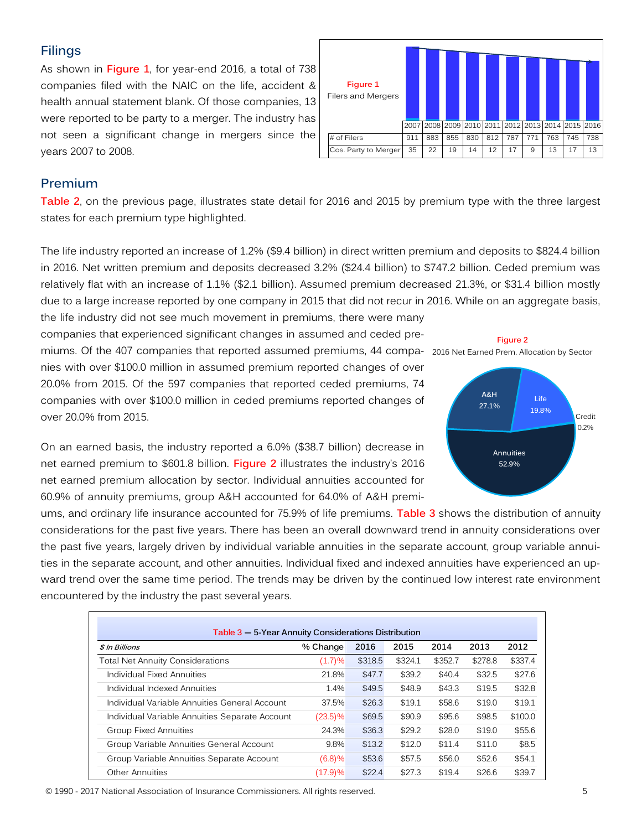# **Filings**

As shown in **Figure 1**, for year-end 2016, a total of 738 companies filed with the NAIC on the life, accident & health annual statement blank. Of those companies, 13 were reported to be party to a merger. The industry has not seen a significant change in mergers since the years 2007 to 2008.

| Figure 1<br>Filers and Mergers |      |     |     |     |     |                                              |     |     |     |     |
|--------------------------------|------|-----|-----|-----|-----|----------------------------------------------|-----|-----|-----|-----|
|                                | 2007 |     |     |     |     | 2008 2009 2010 2011 2012 2013 2014 2015 2016 |     |     |     |     |
| # of Filers                    | 911  | 883 | 855 | 830 | 812 | 787                                          | 771 | 763 | 745 | 738 |
| Cos. Party to Merger           | 35   | 22  | 19  | 14  | 12  | 17                                           | 9   | 13  | 17  | 13  |

## **Premium**

**Table 2**, on the previous page, illustrates state detail for 2016 and 2015 by premium type with the three largest states for each premium type highlighted.

The life industry reported an increase of 1.2% (\$9.4 billion) in direct written premium and deposits to \$824.4 billion in 2016. Net written premium and deposits decreased 3.2% (\$24.4 billion) to \$747.2 billion. Ceded premium was relatively flat with an increase of 1.1% (\$2.1 billion). Assumed premium decreased 21.3%, or \$31.4 billion mostly due to a large increase reported by one company in 2015 that did not recur in 2016. While on an aggregate basis,

the life industry did not see much movement in premiums, there were many companies that experienced significant changes in assumed and ceded premiums. Of the 407 companies that reported assumed premiums, 44 compa-2016 Net Earned Prem. Allocation by Sectornies with over \$100.0 million in assumed premium reported changes of over 20.0% from 2015. Of the 597 companies that reported ceded premiums, 74 companies with over \$100.0 million in ceded premiums reported changes of over 20.0% from 2015.

On an earned basis, the industry reported a 6.0% (\$38.7 billion) decrease in net earned premium to \$601.8 billion. **Figure 2** illustrates the industry's 2016 net earned premium allocation by sector. Individual annuities accounted for 60.9% of annuity premiums, group A&H accounted for 64.0% of A&H premi-



ums, and ordinary life insurance accounted for 75.9% of life premiums. **Table 3** shows the distribution of annuity considerations for the past five years. There has been an overall downward trend in annuity considerations over the past five years, largely driven by individual variable annuities in the separate account, group variable annuities in the separate account, and other annuities. Individual fixed and indexed annuities have experienced an upward trend over the same time period. The trends may be driven by the continued low interest rate environment encountered by the industry the past several years.

| Table 3 - 5-Year Annuity Considerations Distribution |            |         |         |         |         |         |
|------------------------------------------------------|------------|---------|---------|---------|---------|---------|
| \$ In Billions                                       | % Change   | 2016    | 2015    | 2014    | 2013    | 2012    |
| Total Net Annuity Considerations                     | (1.7)%     | \$318.5 | \$324.1 | \$352.7 | \$278.8 | \$337.4 |
| Individual Fixed Annuities                           | 21.8%      | \$47.7  | \$39.2  | \$40.4  | \$32.5  | \$27.6  |
| Individual Indexed Annuities                         | 1.4%       | \$49.5  | \$48.9  | \$43.3  | \$19.5  | \$32.8  |
| Individual Variable Annuities General Account        | 37.5%      | \$26.3  | \$19.1  | \$58.6  | \$19.0  | \$19.1  |
| Individual Variable Annuities Separate Account       | $(23.5)\%$ | \$69.5  | \$90.9  | \$95.6  | \$98.5  | \$100.0 |
| <b>Group Fixed Annuities</b>                         | 24.3%      | \$36.3  | \$29.2  | \$28.0  | \$19.0  | \$55.6  |
| Group Variable Annuities General Account             | 9.8%       | \$13.2  | \$12.0  | \$11.4  | \$11.0  | \$8.5   |
| Group Variable Annuities Separate Account            | (6.8)%     | \$53.6  | \$57.5  | \$56.0  | \$52.6  | \$54.1  |
| Other Annuities                                      | (17.9)%    | \$22.4  | \$27.3  | \$19.4  | \$26.6  | \$39.7  |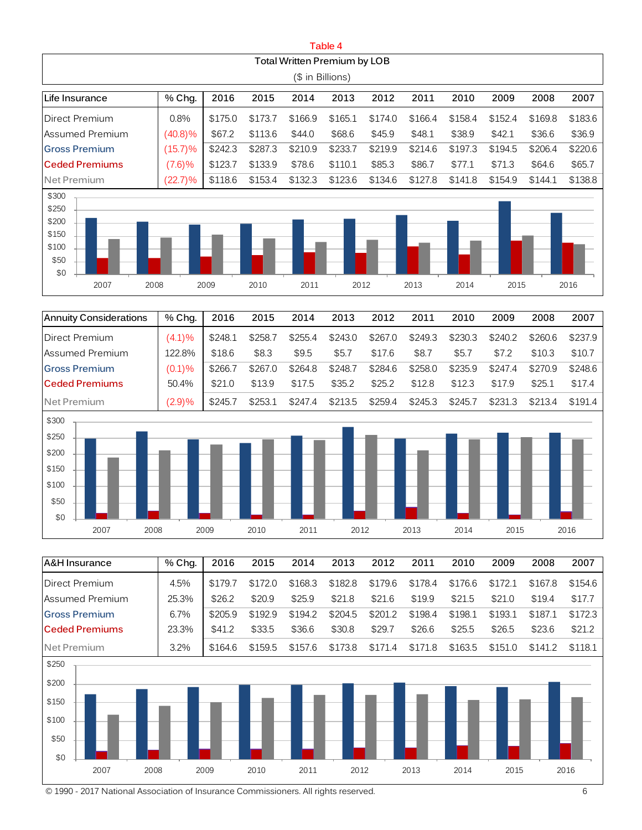|                                                                  |            |         |         |                              | Table 4 |         |         |         |         |         |         |
|------------------------------------------------------------------|------------|---------|---------|------------------------------|---------|---------|---------|---------|---------|---------|---------|
|                                                                  |            |         |         | Total Written Premium by LOB |         |         |         |         |         |         |         |
|                                                                  |            |         |         | (\$ in Billions)             |         |         |         |         |         |         |         |
| Life Insurance                                                   | % Chg.     | 2016    | 2015    | 2014                         | 2013    | 2012    | 2011    | 2010    | 2009    | 2008    | 2007    |
| Direct Premium                                                   | 0.8%       | \$175.0 | \$173.7 | \$166.9                      | \$165.1 | \$174.0 | \$166.4 | \$158.4 | \$152.4 | \$169.8 | \$183.6 |
| lAssumed Premium                                                 | $(40.8)\%$ | \$67.2  | \$113.6 | \$44.0                       | \$68.6  | \$45.9  | \$48.1  | \$38.9  | \$42.1  | \$36.6  | \$36.9  |
| <b>Gross Premium</b>                                             | $(15.7)\%$ | \$242.3 | \$287.3 | \$210.9                      | \$233.7 | \$219.9 | \$214.6 | \$197.3 | \$194.5 | \$206.4 | \$220.6 |
| <b>Ceded Premiums</b>                                            | (7.6)%     | \$123.7 | \$133.9 | \$78.6                       | \$110.1 | \$85.3  | \$86.7  | \$77.1  | \$71.3  | \$64.6  | \$65.7  |
| Net Premium                                                      | $(22.7)\%$ | \$118.6 | \$153.4 | \$132.3                      | \$123.6 | \$134.6 | \$127.8 | \$141.8 | \$154.9 | \$144.1 | \$138.8 |
| \$300<br>\$250<br>\$200<br>\$150<br>\$100<br>\$50<br>\$0<br>2007 | 2008       | 2009    | 2010    | 2011                         | 2012    |         | 2013    | 2014    | 2015    |         | 2016    |

| Annuity Considerations | % Chg. | 2016    | 2015    | 2014    | 2013    | 2012    | 2011    | 2010    | 2009    | 2008    | 2007    |
|------------------------|--------|---------|---------|---------|---------|---------|---------|---------|---------|---------|---------|
| Direct Premium         | (4.1)% | \$248.1 | \$258.7 | \$255.4 | \$243.0 | \$267.0 | \$249.3 | \$230.3 | \$240.2 | \$260.6 | \$237.9 |
| <b>Assumed Premium</b> | 122.8% | \$18.6  | \$8.3   | \$9.5   | \$5.7   | \$17.6  | \$8.7   | \$5.7   | \$7.2   | \$10.3  | \$10.7  |
| <b>Gross Premium</b>   | (0.1)% | \$266.7 | \$267.0 | \$264.8 | \$248.7 | \$284.6 | \$258.0 | \$235.9 | \$247.4 | \$270.9 | \$248.6 |
| <b>Ceded Premiums</b>  | 50.4%  | \$21.0  | \$13.9  | \$17.5  | \$35.2  | \$25.2  | \$12.8  | \$12.3  | \$17.9  | \$25.1  | \$17.4  |
| Net Premium            | (2.9)% | \$245.7 | \$253.1 | \$247.4 | \$213.5 | \$259.4 | \$245.3 | \$245.7 | \$231.3 | \$213.4 | \$191.4 |
| \$300                  |        |         |         |         |         |         |         |         |         |         |         |
| \$250                  |        |         |         |         |         |         |         |         |         |         |         |
| \$200                  |        |         |         |         |         |         |         |         |         |         |         |



| <b>A&amp;H Insurance</b>                                        | % Chg. | 2016    | 2015    | 2014    | 2013    | 2012    | 2011    | 2010    | 2009    | 2008    | 2007    |
|-----------------------------------------------------------------|--------|---------|---------|---------|---------|---------|---------|---------|---------|---------|---------|
| Direct Premium                                                  | 4.5%   | \$179.7 | \$172.0 | \$168.3 | \$182.8 | \$179.6 | \$178.4 | \$176.6 | \$172.1 | \$167.8 | \$154.6 |
| Assumed Premium                                                 | 25.3%  | \$26.2  | \$20.9  | \$25.9  | \$21.8  | \$21.6  | \$19.9  | \$21.5  | \$21.0  | \$19.4  | \$17.7  |
| <b>Gross Premium</b>                                            | 6.7%   | \$205.9 | \$192.9 | \$194.2 | \$204.5 | \$201.2 | \$198.4 | \$198.1 | \$193.1 | \$187.1 | \$172.3 |
| <b>Ceded Premiums</b>                                           | 23.3%  | \$41.2  | \$33.5  | \$36.6  | \$30.8  | \$29.7  | \$26.6  | \$25.5  | \$26.5  | \$23.6  | \$21.2  |
| Net Premium                                                     | 3.2%   | \$164.6 | \$159.5 | \$157.6 | \$173.8 | \$171.4 | \$171.8 | \$163.5 | \$151.0 | \$141.2 | \$118.1 |
| \$250<br>\$200<br>\$150<br>\$100<br>\$50<br>\$0<br>2007<br>2008 |        | 2009    | 2010    | 2011    | 2012    |         | 2013    | 2014    | 2015    |         | 2016    |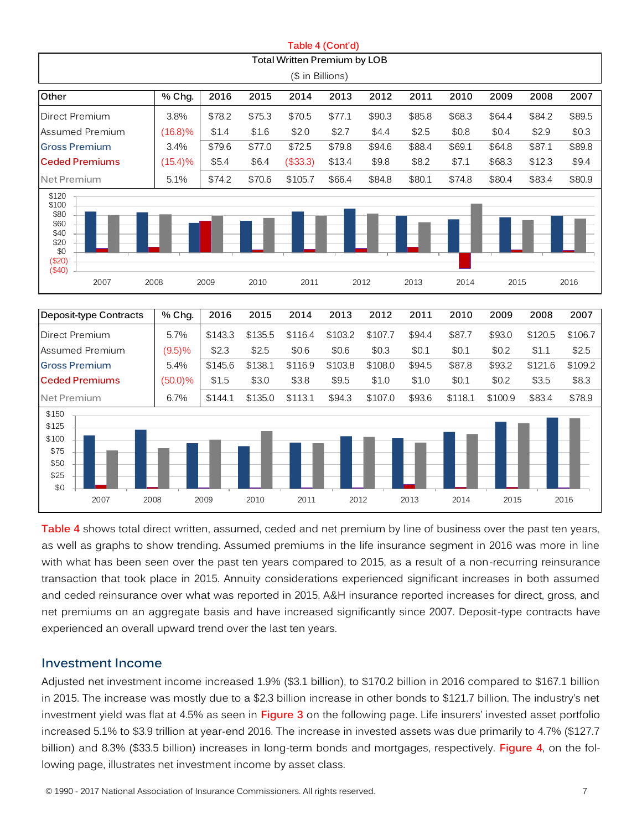|                                                                                                                                                                                                                                                                                                                                                                                                                                                                                                                                                                                                                                                                                                                                                                 |            |         |         |                                     | Table 4 (Cont'd) |         |        |         |         |         |         |
|-----------------------------------------------------------------------------------------------------------------------------------------------------------------------------------------------------------------------------------------------------------------------------------------------------------------------------------------------------------------------------------------------------------------------------------------------------------------------------------------------------------------------------------------------------------------------------------------------------------------------------------------------------------------------------------------------------------------------------------------------------------------|------------|---------|---------|-------------------------------------|------------------|---------|--------|---------|---------|---------|---------|
|                                                                                                                                                                                                                                                                                                                                                                                                                                                                                                                                                                                                                                                                                                                                                                 |            |         |         | <b>Total Written Premium by LOB</b> |                  |         |        |         |         |         |         |
|                                                                                                                                                                                                                                                                                                                                                                                                                                                                                                                                                                                                                                                                                                                                                                 |            |         |         | (\$ in Billions)                    |                  |         |        |         |         |         |         |
| Other                                                                                                                                                                                                                                                                                                                                                                                                                                                                                                                                                                                                                                                                                                                                                           | % Chg.     | 2016    | 2015    | 2014                                | 2013             | 2012    | 2011   | 2010    | 2009    | 2008    | 2007    |
| Direct Premium                                                                                                                                                                                                                                                                                                                                                                                                                                                                                                                                                                                                                                                                                                                                                  | 3.8%       | \$78.2  | \$75.3  | \$70.5                              | \$77.1           | \$90.3  | \$85.8 | \$68.3  | \$64.4  | \$84.2  | \$89.5  |
| Assumed Premium                                                                                                                                                                                                                                                                                                                                                                                                                                                                                                                                                                                                                                                                                                                                                 | $(16.8)\%$ | \$1.4   | \$1.6   | \$2.0                               | \$2.7            | \$4.4   | \$2.5  | \$0.8   | \$0.4   | \$2.9   | \$0.3   |
| <b>Gross Premium</b>                                                                                                                                                                                                                                                                                                                                                                                                                                                                                                                                                                                                                                                                                                                                            | 3.4%       | \$79.6  | \$77.0  | \$72.5                              | \$79.8           | \$94.6  | \$88.4 | \$69.1  | \$64.8  | \$87.1  | \$89.8  |
| <b>Ceded Premiums</b>                                                                                                                                                                                                                                                                                                                                                                                                                                                                                                                                                                                                                                                                                                                                           | (15.4)%    | \$5.4   | \$6.4   | (\$33.3)                            | \$13.4           | \$9.8   | \$8.2  | \$7.1   | \$68.3  | \$12.3  | \$9.4   |
| Net Premium                                                                                                                                                                                                                                                                                                                                                                                                                                                                                                                                                                                                                                                                                                                                                     | 5.1%       | \$74.2  | \$70.6  | \$105.7                             | \$66.4           | \$84.8  | \$80.1 | \$74.8  | \$80.4  | \$83.4  | \$80.9  |
| \$120<br>\$100<br>\$80<br>\$60<br>\$40<br>\$20<br>\$0<br>(\$20)<br>(\$40)                                                                                                                                                                                                                                                                                                                                                                                                                                                                                                                                                                                                                                                                                       |            |         |         |                                     |                  |         |        |         |         |         |         |
| 2007                                                                                                                                                                                                                                                                                                                                                                                                                                                                                                                                                                                                                                                                                                                                                            | 2008       | 2009    | 2010    | 2011                                |                  | 2012    | 2013   | 2014    | 2015    |         | 2016    |
|                                                                                                                                                                                                                                                                                                                                                                                                                                                                                                                                                                                                                                                                                                                                                                 |            |         |         |                                     |                  |         |        |         |         |         |         |
| Deposit-type Contracts                                                                                                                                                                                                                                                                                                                                                                                                                                                                                                                                                                                                                                                                                                                                          | % Chg.     | 2016    | 2015    | 2014                                | 2013             | 2012    | 2011   | 2010    | 2009    | 2008    | 2007    |
| Direct Premium                                                                                                                                                                                                                                                                                                                                                                                                                                                                                                                                                                                                                                                                                                                                                  | 5.7%       | \$143.3 | \$135.5 | \$116.4                             | \$103.2          | \$107.7 | \$94.4 | \$87.7  | \$93.0  | \$120.5 | \$106.7 |
| Assumed Premium                                                                                                                                                                                                                                                                                                                                                                                                                                                                                                                                                                                                                                                                                                                                                 | (9.5)%     | \$2.3   | \$2.5   | \$0.6                               | \$0.6            | \$0.3   | \$0.1  | \$0.1   | \$0.2\$ | \$1.1   | \$2.5   |
| <b>Gross Premium</b>                                                                                                                                                                                                                                                                                                                                                                                                                                                                                                                                                                                                                                                                                                                                            | 5.4%       | \$145.6 | \$138.1 | \$116.9                             | \$103.8          | \$108.0 | \$94.5 | \$87.8  | \$93.2  | \$121.6 | \$109.2 |
| <b>Ceded Premiums</b>                                                                                                                                                                                                                                                                                                                                                                                                                                                                                                                                                                                                                                                                                                                                           | $(50.0)\%$ | \$1.5   | \$3.0   | \$3.8                               | \$9.5            | \$1.0   | \$1.0  | \$0.1   | \$0.2\$ | \$3.5   | \$8.3   |
| Net Premium                                                                                                                                                                                                                                                                                                                                                                                                                                                                                                                                                                                                                                                                                                                                                     | 6.7%       | \$144.1 | \$135.0 | \$113.1                             | \$94.3           | \$107.0 | \$93.6 | \$118.1 | \$100.9 | \$83.4  | \$78.9  |
| \$150<br>\$125<br>\$100<br>\$75<br>\$50<br>\$25<br>\$0<br>2007<br>2008                                                                                                                                                                                                                                                                                                                                                                                                                                                                                                                                                                                                                                                                                          |            | 2009    | 2010    | 2011                                | 2012             |         | 2013   | 2014    | 2015    |         | 2016    |
| Table 4 shows total direct written, assumed, ceded and net premium by line of business over the past ten years,<br>as well as graphs to show trending. Assumed premiums in the life insurance segment in 2016 was more in line<br>with what has been seen over the past ten years compared to 2015, as a result of a non-recurring reinsurance<br>transaction that took place in 2015. Annuity considerations experienced significant increases in both assumed<br>and ceded reinsurance over what was reported in 2015. A&H insurance reported increases for direct, gross, and<br>net premiums on an aggregate basis and have increased significantly since 2007. Deposit-type contracts have<br>experienced an overall upward trend over the last ten years. |            |         |         |                                     |                  |         |        |         |         |         |         |
| <b>Investment Income</b><br>Adjusted net investment income increased 1.9% (\$3.1 billion), to \$170.2 billion in 2016 compared to \$167.1 billion<br>in 2015. The increase was mostly due to a \$2.3 billion increase in other bonds to \$121.7 billion. The industry's net<br>investment yield was flat at 4.5% as seen in Figure 3 on the following page. Life insurers' invested asset portfolio<br>increased 5.1% to \$3.9 trillion at year-end 2016. The increase in invested assets was due primarily to 4.7% (\$127.7<br>billion) and 8.3% (\$33.5 billion) increases in long-term bonds and mortgages, respectively. Figure 4, on the fol-<br>lowing page, illustrates net investment income by asset class.                                            |            |         |         |                                     |                  |         |        |         |         |         |         |

#### **Investment Income**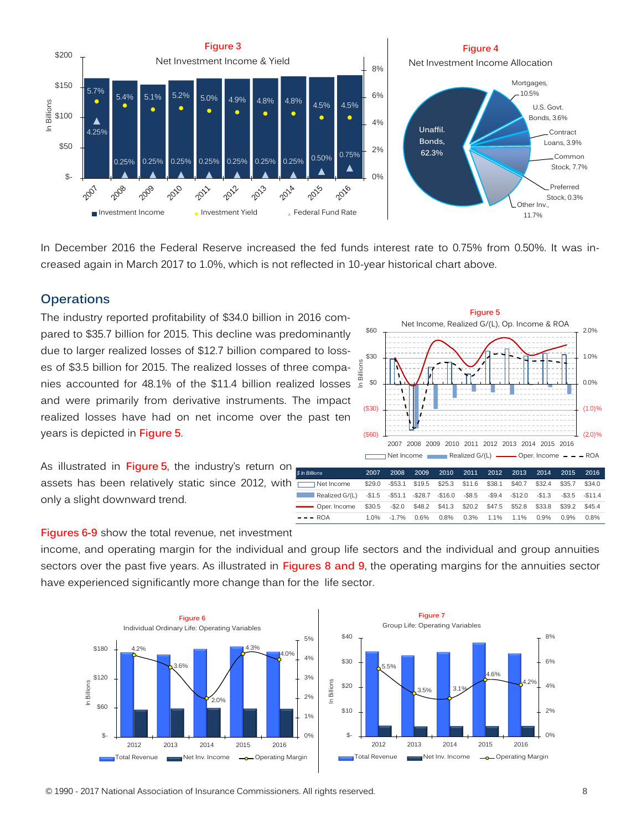

In December 2016 the Federal Reserve increased the fed funds interest rate to 0.75% from 0.50%. It was increased again in March 2017 to 1.0%, which is not reflected in 10-year historical chart above.

#### **Operations**

The industry reported profitability of \$34.0 billion in 2016 compared to \$35.7 billion for 2015. This decline was predominantly due to larger realized losses of \$12.7 billion compared to losses of \$3.5 billion for 2015. The realized losses of three companies accounted for 48.1% of the \$11.4 billion realized losses and were primarily from derivative instruments. The impact realized losses have had on net income over the past ten years is depicted in **Figure 5**.



Net Income \$29.0 -\$53.1 \$19.5 \$25.3 \$11.6 \$38.1 \$40.7 \$32.4 \$35.7 \$34.0 Realized G/(L) -\$1.5 -\$51.1 -\$28.7 -\$16.0 -\$8.5 -\$9.4 -\$12.0 -\$1.3 -\$3.5 -\$11.4

– – – ROA 1.0% -1.7% 0.6% 0.8% 0.3% 1.1% 1.1% 0.9% 0.9% 0.8%

As illustrated in **Figure 5**, the industry's return on assets has been relatively static since 2012, with only a slight downward trend. ––––– Oper. Income \$30.5 -\$2.0 \$48.2 \$41.3 \$20.2 \$47.5 \$52.8 \$33.8 \$39.2 \$45.4 *\$ In Billions*

|  |  | Figures 6-9 show the total revenue, net investment |
|--|--|----------------------------------------------------|

income, and operating margin for the individual and group life sectors and the individual and group annuities sectors over the past five years. As illustrated in **Figures 8 and 9**, the operating margins for the annuities sector have experienced significantly more change than for the life sector.

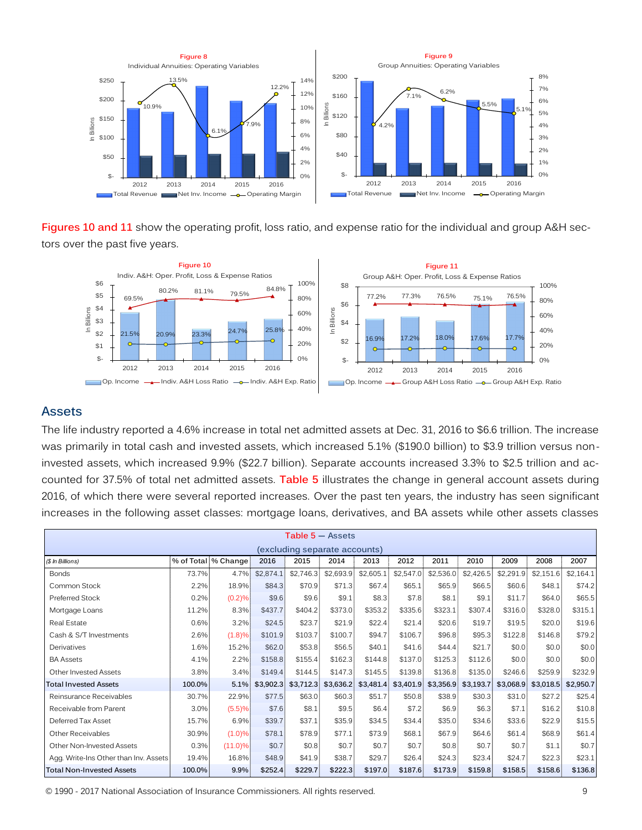

**Figures 10 and 11** show the operating profit, loss ratio, and expense ratio for the individual and group A&H sectors over the past five years.



#### **Assets**

The life industry reported a 4.6% increase in total net admitted assets at Dec. 31, 2016 to \$6.6 trillion. The increase was primarily in total cash and invested assets, which increased 5.1% (\$190.0 billion) to \$3.9 trillion versus noninvested assets, which increased 9.9% (\$22.7 billion). Separate accounts increased 3.3% to \$2.5 trillion and accounted for 37.5% of total net admitted assets. **Table 5** illustrates the change in general account assets during 2016, of which there were several reported increases. Over the past ten years, the industry has seen significant increases in the following asset classes: mortgage loans, derivatives, and BA assets while other assets classes

|                                       |         |                       |           |           | $Table 5 - Assets$            |           |           |           |           |           |           |           |
|---------------------------------------|---------|-----------------------|-----------|-----------|-------------------------------|-----------|-----------|-----------|-----------|-----------|-----------|-----------|
|                                       |         |                       |           |           | (excluding separate accounts) |           |           |           |           |           |           |           |
| (\$ In Billions)                      |         | % of Total   % Change | 2016      | 2015      | 2014                          | 2013      | 2012      | 2011      | 2010      | 2009      | 2008      | 2007      |
| <b>Bonds</b>                          | 73.7%   | 4.7%                  | \$2,874.1 | \$2,746.3 | \$2,693.9                     | \$2,605.1 | \$2,547.0 | \$2,536.0 | \$2,426.5 | \$2,291.9 | \$2,151.6 | \$2,164.1 |
| Common Stock                          | 2.2%    | 18.9%                 | \$84.3    | \$70.9    | \$71.3                        | \$67.4    | \$65.1    | \$65.9    | \$66.5    | \$60.6    | \$48.1    | \$74.2    |
| Preferred Stock                       | 0.2%    | (0.2)%                | \$9.6     | \$9.6     | \$9.1                         | \$8.3     | \$7.8     | \$8.1     | \$9.1     | \$11.7    | \$64.0    | \$65.5    |
| Mortgage Loans                        | 11.2%   | 8.3%                  | \$437.7   | \$404.2   | \$373.0                       | \$353.2   | \$335.6   | \$323.1   | \$307.4   | \$316.0   | \$328.0   | \$315.1   |
| Real Estate                           | 0.6%    | 3.2%                  | \$24.5    | \$23.7    | \$21.9                        | \$22.4    | \$21.4    | \$20.6    | \$19.7    | \$19.5    | \$20.0    | \$19.6    |
| Cash & S/T Investments                | 2.6%    | (1.8)%                | \$101.9   | \$103.7   | \$100.7                       | \$94.7    | \$106.7   | \$96.8    | \$95.3    | \$122.8   | \$146.8   | \$79.2    |
| Derivatives                           | 1.6%    | 15.2%                 | \$62.0    | \$53.8    | \$56.5                        | \$40.1    | \$41.6    | \$44.4    | \$21.7    | \$0.0     | \$0.0     | \$0.0     |
| <b>BA Assets</b>                      | 4.1%    | 2.2%                  | \$158.8   | \$155.4   | \$162.3                       | \$144.8   | \$137.0   | \$125.3   | \$112.6   | \$0.0     | \$0.0     | \$0.0     |
| Other Invested Assets                 | 3.8%    | 3.4%                  | \$149.4   | \$144.5   | \$147.3                       | \$145.5   | \$139.8   | \$136.8   | \$135.0   | \$246.6   | \$259.9   | \$232.9   |
| <b>Total Invested Assets</b>          | 100.0%  | 5.1%                  | \$3,902.3 | \$3,712.3 | \$3,636.2                     | \$3,481.4 | \$3,401.9 | \$3,356.9 | \$3,193.7 | \$3,068.9 | \$3,018.5 | \$2,950.7 |
| Reinsurance Receivables               | 30.7%   | 22.9%                 | \$77.5    | \$63.0    | \$60.3                        | \$51.7    | \$50.8    | \$38.9    | \$30.3    | \$31.0    | \$27.2    | \$25.4    |
| Receivable from Parent                | $3.0\%$ | (5.5)%                | \$7.6     | \$8.1     | \$9.5                         | \$6.4]    | \$7.2     | \$6.9     | \$6.3     | \$7.1     | \$16.2    | \$10.8    |
| Deferred Tax Asset                    | 15.7%   | 6.9%                  | \$39.7    | \$37.1    | \$35.9                        | \$34.5    | \$34.4    | \$35.0    | \$34.6    | \$33.6    | \$22.9    | \$15.5    |
| Other Receivables                     | 30.9%   | (1.0)%                | \$78.1    | \$78.9    | \$77.1                        | \$73.9    | \$68.1    | \$67.9    | \$64.6    | \$61.4    | \$68.9    | \$61.4    |
| Other Non-Invested Assets             | 0.3%    | $(11.0)\%$            | \$0.7     | \$0.8     | \$0.7                         | \$0.7     | \$0.7     | \$0.8     | \$0.7     | \$0.7     | \$1.1     | \$0.7     |
| Agg. Write-Ins Other than Inv. Assets | 19.4%   | 16.8%                 | \$48.9    | \$41.9    | \$38.7                        | \$29.7    | \$26.4    | \$24.3    | \$23.4    | \$24.7    | \$22.3    | \$23.1    |
| <b>Total Non-Invested Assets</b>      | 100.0%  | 9.9%                  | \$252.4   | \$229.7   | \$222.3                       | \$197.0   | \$187.6   | \$173.9   | \$159.8   | \$158.5   | \$158.6   | \$136.8   |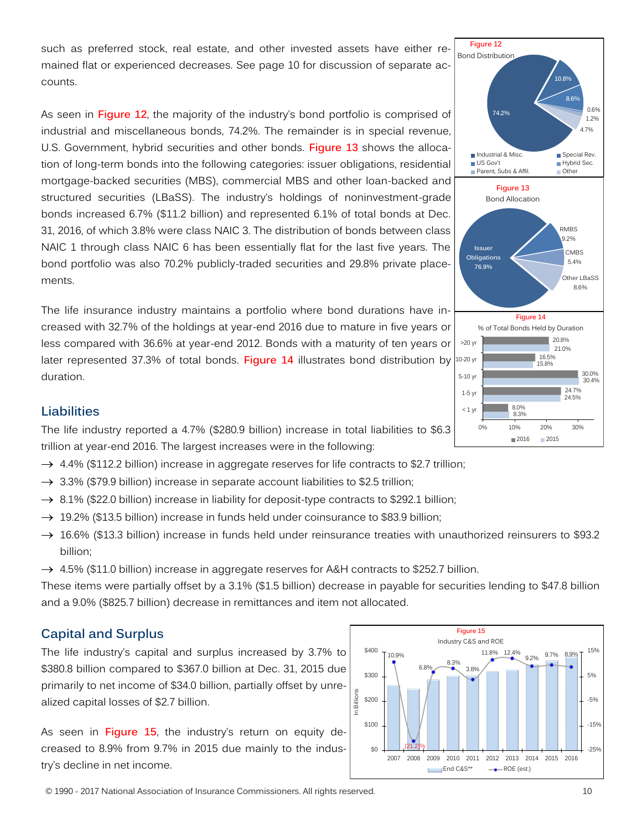such as preferred stock, real estate, and other invested assets have either remained flat or experienced decreases. See page 10 for discussion of separate accounts.

As seen in **Figure 12**, the majority of the industry's bond portfolio is comprised of industrial and miscellaneous bonds, 74.2%. The remainder is in special revenue, U.S. Government, hybrid securities and other bonds. **Figure 13** shows the allocation of long-term bonds into the following categories: issuer obligations, residential mortgage-backed securities (MBS), commercial MBS and other loan-backed and structured securities (LBaSS). The industry's holdings of noninvestment-grade bonds increased 6.7% (\$11.2 billion) and represented 6.1% of total bonds at Dec. 31, 2016, of which 3.8% were class NAIC 3. The distribution of bonds between class NAIC 1 through class NAIC 6 has been essentially flat for the last five years. The bond portfolio was also 70.2% publicly-traded securities and 29.8% private placements.

The life insurance industry maintains a portfolio where bond durations have increased with 32.7% of the holdings at year-end 2016 due to mature in five years or less compared with 36.6% at year-end 2012. Bonds with a maturity of ten years or later represented 37.3% of total bonds. **Figure 14** illustrates bond distribution by duration.



#### **Liabilities**

The life industry reported a 4.7% (\$280.9 billion) increase in total liabilities to \$6.3 trillion at year-end 2016. The largest increases were in the following:

- $\rightarrow$  4.4% (\$112.2 billion) increase in aggregate reserves for life contracts to \$2.7 trillion;
- $\rightarrow$  3.3% (\$79.9 billion) increase in separate account liabilities to \$2.5 trillion;
- $\rightarrow$  8.1% (\$22.0 billion) increase in liability for deposit-type contracts to \$292.1 billion;
- $\rightarrow$  19.2% (\$13.5 billion) increase in funds held under coinsurance to \$83.9 billion;
- $\rightarrow$  16.6% (\$13.3 billion) increase in funds held under reinsurance treaties with unauthorized reinsurers to \$93.2 billion;
- $\rightarrow$  4.5% (\$11.0 billion) increase in aggregate reserves for A&H contracts to \$252.7 billion.

These items were partially offset by a 3.1% (\$1.5 billion) decrease in payable for securities lending to \$47.8 billion and a 9.0% (\$825.7 billion) decrease in remittances and item not allocated.

## **Capital and Surplus**

The life industry's capital and surplus increased by 3.7% to \$380.8 billion compared to \$367.0 billion at Dec. 31, 2015 due primarily to net income of \$34.0 billion, partially offset by unrealized capital losses of \$2.7 billion.

As seen in **Figure 15**, the industry's return on equity decreased to 8.9% from 9.7% in 2015 due mainly to the industry's decline in net income.

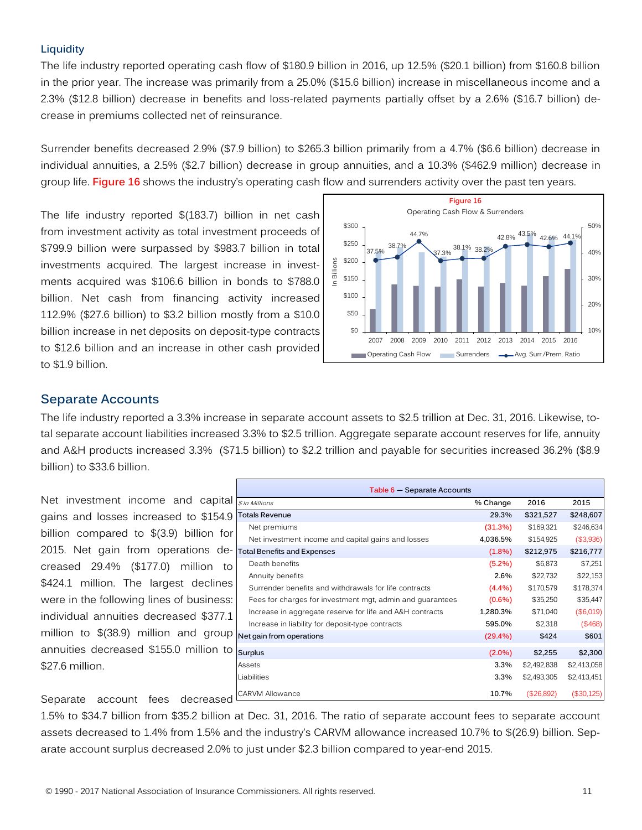#### **Liquidity**

The life industry reported operating cash flow of \$180.9 billion in 2016, up 12.5% (\$20.1 billion) from \$160.8 billion in the prior year. The increase was primarily from a 25.0% (\$15.6 billion) increase in miscellaneous income and a 2.3% (\$12.8 billion) decrease in benefits and loss-related payments partially offset by a 2.6% (\$16.7 billion) decrease in premiums collected net of reinsurance.

Surrender benefits decreased 2.9% (\$7.9 billion) to \$265.3 billion primarily from a 4.7% (\$6.6 billion) decrease in individual annuities, a 2.5% (\$2.7 billion) decrease in group annuities, and a 10.3% (\$462.9 million) decrease in group life. **Figure 16** shows the industry's operating cash flow and surrenders activity over the past ten years.

The life industry reported \$(183.7) billion in net cash from investment activity as total investment proceeds of \$799.9 billion were surpassed by \$983.7 billion in total investments acquired. The largest increase in investments acquired was \$106.6 billion in bonds to \$788.0 billion. Net cash from financing activity increased 112.9% (\$27.6 billion) to \$3.2 billion mostly from a \$10.0 billion increase in net deposits on deposit-type contracts to \$12.6 billion and an increase in other cash provided to \$1.9 billion.



#### **Separate Accounts**

The life industry reported a 3.3% increase in separate account assets to \$2.5 trillion at Dec. 31, 2016. Likewise, total separate account liabilities increased 3.3% to \$2.5 trillion. Aggregate separate account reserves for life, annuity and A&H products increased 3.3% (\$71.5 billion) to \$2.2 trillion and payable for securities increased 36.2% (\$8.9 billion) to \$33.6 billion.

Net investment income and capital gains and losses increased to \$154.9 billion compared to \$(3.9) billion for 2015. Net gain from operations decreased 29.4% (\$177.0) million to \$424.1 million. The largest declines were in the following lines of business: individual annuities decreased \$377.1 million to \$(38.9) million and group annuities decreased \$155.0 million to \$27.6 million.

Separate account fees decreased

| Table 6 - Separate Accounts                               |            |             |             |
|-----------------------------------------------------------|------------|-------------|-------------|
| \$ In Millions                                            | % Change   | 2016        | 2015        |
| <b>Totals Revenue</b>                                     | 29.3%      | \$321,527   | \$248,607   |
| Net premiums                                              | (31.3%)    | \$169,321   | \$246,634   |
| Net investment income and capital gains and losses        | 4,036.5%   | \$154,925   | (\$3,936)   |
| <b>Total Benefits and Expenses</b>                        | $(1.8\%)$  | \$212,975   | \$216,777   |
| Death benefits                                            | $(5.2\%)$  | \$6,873     | \$7,251     |
| Annuity benefits                                          | 2.6%       | \$22,732    | \$22,153    |
| Surrender benefits and withdrawals for life contracts     | $(4.4\%)$  | \$170,579   | \$178,374   |
| Fees for charges for investment mgt, admin and guarantees | $(0.6\%)$  | \$35,250    | \$35,447    |
| Increase in aggregate reserve for life and A&H contracts  | 1,280.3%   | \$71,040    | (\$6,019)   |
| Increase in liability for deposit-type contracts          | 595.0%     | \$2,318     | (\$468)     |
| Net gain from operations                                  | $(29.4\%)$ | \$424       | \$601       |
| <b>Surplus</b>                                            | $(2.0\%)$  | \$2,255     | \$2,300     |
| Assets                                                    | $3.3\%$    | \$2,492,838 | \$2,413,058 |
| Liabilities                                               | 3.3%       | \$2,493,305 | \$2,413,451 |
| <b>CARVM Allowance</b>                                    | 10.7%      | (\$26,892)  | (\$30,125)  |

1.5% to \$34.7 billion from \$35.2 billion at Dec. 31, 2016. The ratio of separate account fees to separate account assets decreased to 1.4% from 1.5% and the industry's CARVM allowance increased 10.7% to \$(26.9) billion. Separate account surplus decreased 2.0% to just under \$2.3 billion compared to year-end 2015.